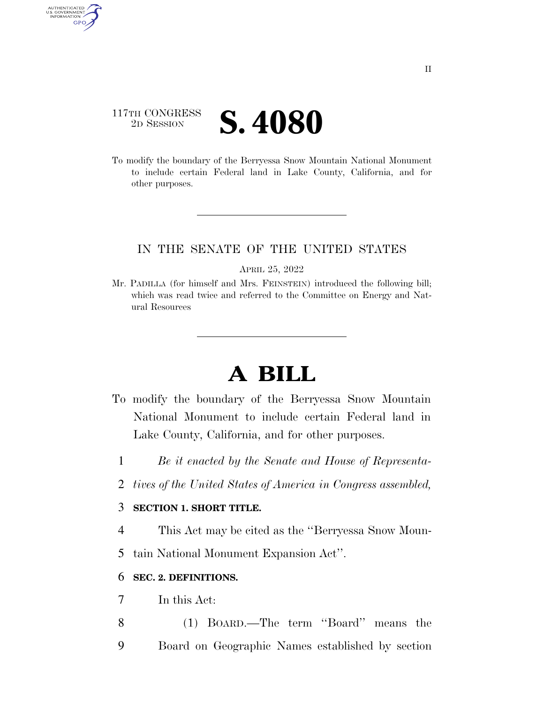## 117TH CONGRESS **2D SESSION S. 4080**

AUTHENTICATED U.S. GOVERNMENT GPO

> To modify the boundary of the Berryessa Snow Mountain National Monument to include certain Federal land in Lake County, California, and for other purposes.

### IN THE SENATE OF THE UNITED STATES

APRIL 25, 2022

Mr. PADILLA (for himself and Mrs. FEINSTEIN) introduced the following bill; which was read twice and referred to the Committee on Energy and Natural Resources

# **A BILL**

- To modify the boundary of the Berryessa Snow Mountain National Monument to include certain Federal land in Lake County, California, and for other purposes.
	- 1 *Be it enacted by the Senate and House of Representa-*
	- 2 *tives of the United States of America in Congress assembled,*

#### 3 **SECTION 1. SHORT TITLE.**

4 This Act may be cited as the ''Berryessa Snow Moun-

5 tain National Monument Expansion Act''.

#### 6 **SEC. 2. DEFINITIONS.**

- 7 In this Act:
- 8 (1) BOARD.—The term ''Board'' means the 9 Board on Geographic Names established by section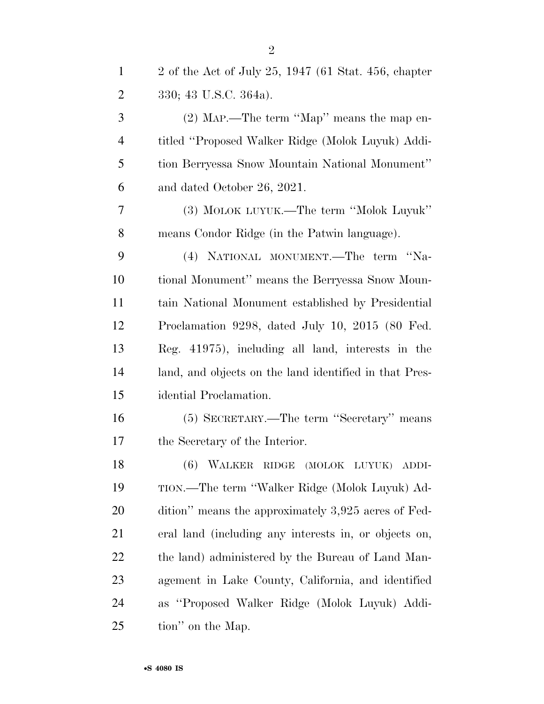| $\mathbf{1}$   | 2 of the Act of July 25, 1947 (61 Stat. 456, chapter   |
|----------------|--------------------------------------------------------|
| $\overline{2}$ | 330; 43 U.S.C. 364a).                                  |
| 3              | $(2)$ MAP.—The term "Map" means the map en-            |
| $\overline{4}$ | titled "Proposed Walker Ridge (Molok Luyuk) Addi-      |
| 5              | tion Berryessa Snow Mountain National Monument"        |
| 6              | and dated October 26, 2021.                            |
| 7              | (3) MOLOK LUYUK.—The term "Molok Luyuk"                |
| 8              | means Condor Ridge (in the Patwin language).           |
| 9              | (4) NATIONAL MONUMENT.—The term "Na-                   |
| 10             | tional Monument" means the Berryessa Snow Moun-        |
| 11             | tain National Monument established by Presidential     |
| 12             | Proclamation 9298, dated July 10, 2015 (80 Fed.        |
| 13             | Reg. 41975), including all land, interests in the      |
| 14             | land, and objects on the land identified in that Pres- |
| 15             | idential Proclamation.                                 |
| 16             | (5) SECRETARY.—The term "Secretary" means              |
| 17             | the Secretary of the Interior.                         |
| 18             | $(6)$ WALKER<br>RIDGE (MOLOK LUYUK)<br>ADDI-           |
| 19             | TION.—The term "Walker Ridge (Molok Luyuk) Ad-         |
| 20             | dition" means the approximately 3,925 acres of Fed-    |
| 21             | eral land (including any interests in, or objects on,  |
| 22             | the land) administered by the Bureau of Land Man-      |
| 23             | agement in Lake County, California, and identified     |
| 24             | as "Proposed Walker Ridge (Molok Luyuk) Addi-          |
| 25             | tion" on the Map.                                      |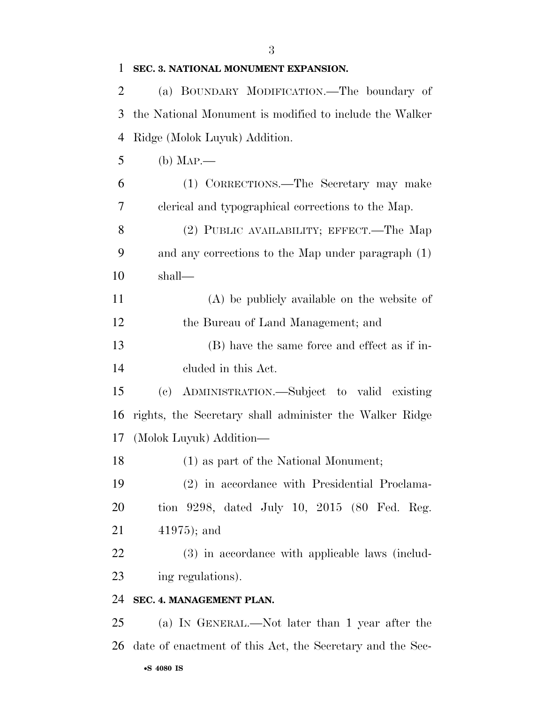| 1  | SEC. 3. NATIONAL MONUMENT EXPANSION.                      |
|----|-----------------------------------------------------------|
| 2  | (a) BOUNDARY MODIFICATION.—The boundary of                |
| 3  | the National Monument is modified to include the Walker   |
| 4  | Ridge (Molok Luyuk) Addition.                             |
| 5  | $(b)$ Map.—                                               |
| 6  | (1) CORRECTIONS.—The Secretary may make                   |
| 7  | clerical and typographical corrections to the Map.        |
| 8  | (2) PUBLIC AVAILABILITY; EFFECT.—The Map                  |
| 9  | and any corrections to the Map under paragraph (1)        |
| 10 | shall—                                                    |
| 11 | $(A)$ be publicly available on the website of             |
| 12 | the Bureau of Land Management; and                        |
| 13 | (B) have the same force and effect as if in-              |
| 14 | eluded in this Act.                                       |
| 15 | (c) ADMINISTRATION.—Subject to valid existing             |
| 16 | rights, the Secretary shall administer the Walker Ridge   |
| 17 | (Molok Luyuk) Addition-                                   |
| 18 | (1) as part of the National Monument;                     |
| 19 | (2) in accordance with Presidential Proclama-             |
| 20 | tion 9298, dated July 10, 2015 (80 Fed. Reg.              |
| 21 | $41975$ ; and                                             |
| 22 | (3) in accordance with applicable laws (includ-           |
| 23 | ing regulations).                                         |
| 24 | SEC. 4. MANAGEMENT PLAN.                                  |
| 25 | (a) IN GENERAL.—Not later than 1 year after the           |
| 26 | date of enactment of this Act, the Secretary and the Sec- |
|    | •S 4080 IS                                                |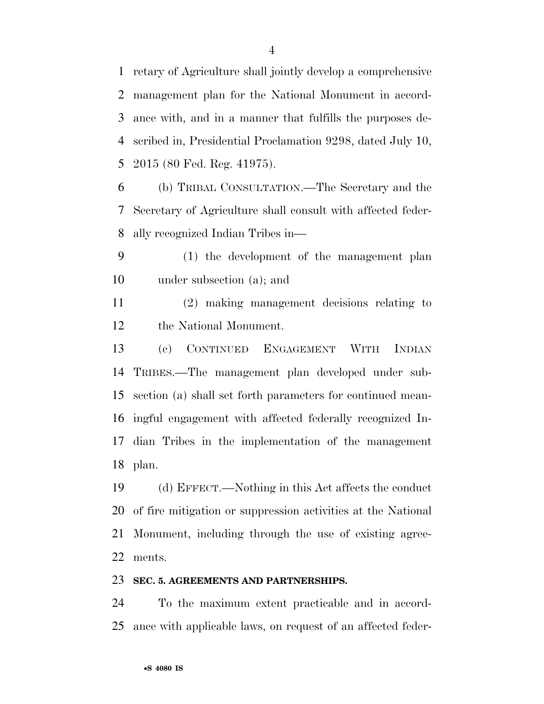retary of Agriculture shall jointly develop a comprehensive management plan for the National Monument in accord- ance with, and in a manner that fulfills the purposes de- scribed in, Presidential Proclamation 9298, dated July 10, 2015 (80 Fed. Reg. 41975).

 (b) TRIBAL CONSULTATION.—The Secretary and the Secretary of Agriculture shall consult with affected feder-ally recognized Indian Tribes in—

 (1) the development of the management plan under subsection (a); and

 (2) making management decisions relating to the National Monument.

 (c) CONTINUED ENGAGEMENT WITH INDIAN TRIBES.—The management plan developed under sub- section (a) shall set forth parameters for continued mean- ingful engagement with affected federally recognized In- dian Tribes in the implementation of the management plan.

 (d) EFFECT.—Nothing in this Act affects the conduct of fire mitigation or suppression activities at the National Monument, including through the use of existing agree-ments.

#### **SEC. 5. AGREEMENTS AND PARTNERSHIPS.**

 To the maximum extent practicable and in accord-ance with applicable laws, on request of an affected feder-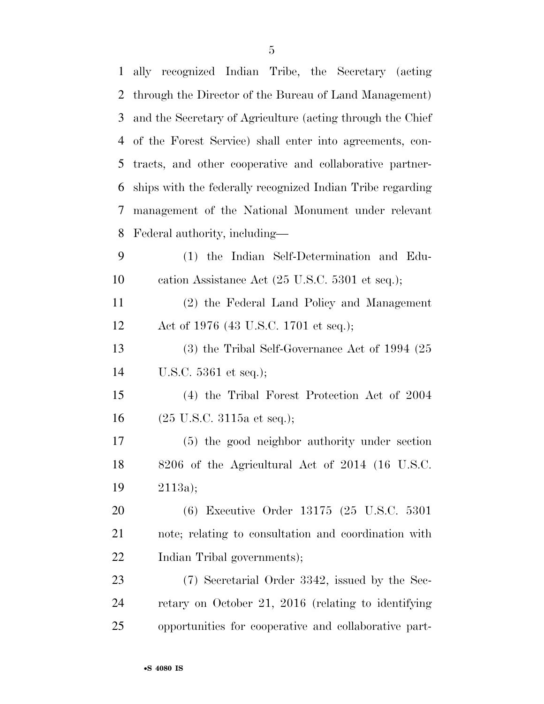| $\mathbf{1}$   | ally recognized Indian Tribe, the Secretary (acting        |
|----------------|------------------------------------------------------------|
| $\overline{2}$ | through the Director of the Bureau of Land Management)     |
| 3              | and the Secretary of Agriculture (acting through the Chief |
| 4              | of the Forest Service) shall enter into agreements, con-   |
| 5              | tracts, and other cooperative and collaborative partner-   |
| 6              | ships with the federally recognized Indian Tribe regarding |
| 7              | management of the National Monument under relevant         |
| 8              | Federal authority, including—                              |
| 9              | (1) the Indian Self-Determination and Edu-                 |
| 10             | cation Assistance Act (25 U.S.C. 5301 et seq.);            |
| 11             | (2) the Federal Land Policy and Management                 |
| 12             | Act of 1976 (43 U.S.C. 1701 et seq.);                      |
| 13             | $(3)$ the Tribal Self-Governance Act of 1994 $(25)$        |
| 14             | U.S.C. $5361$ et seq.);                                    |
| 15             | (4) the Tribal Forest Protection Act of 2004               |
| 16             | $(25 \text{ U.S.C. } 3115a \text{ et seq.});$              |
| 17             | (5) the good neighbor authority under section              |
| 18             | 8206 of the Agricultural Act of 2014 (16 U.S.C.            |
| 19             | 2113a);                                                    |
| 20             | (6) Executive Order 13175 (25 U.S.C. 5301                  |
| 21             | note; relating to consultation and coordination with       |
| 22             | Indian Tribal governments);                                |
| 23             | (7) Secretarial Order 3342, issued by the Sec-             |
| 24             | retary on October 21, 2016 (relating to identifying        |
| 25             | opportunities for cooperative and collaborative part-      |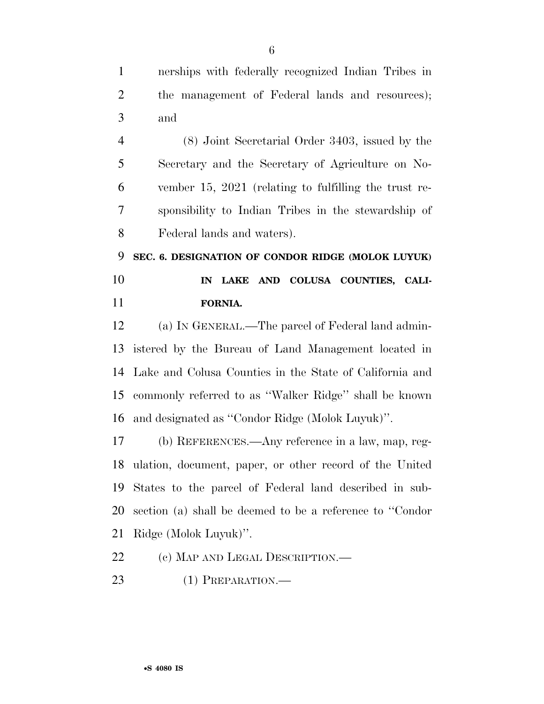nerships with federally recognized Indian Tribes in 2 the management of Federal lands and resources); and (8) Joint Secretarial Order 3403, issued by the

 Secretary and the Secretary of Agriculture on No- vember 15, 2021 (relating to fulfilling the trust re- sponsibility to Indian Tribes in the stewardship of Federal lands and waters).

 **SEC. 6. DESIGNATION OF CONDOR RIDGE (MOLOK LUYUK) IN LAKE AND COLUSA COUNTIES, CALI-FORNIA.** 

 (a) IN GENERAL.—The parcel of Federal land admin- istered by the Bureau of Land Management located in Lake and Colusa Counties in the State of California and commonly referred to as ''Walker Ridge'' shall be known and designated as ''Condor Ridge (Molok Luyuk)''.

 (b) REFERENCES.—Any reference in a law, map, reg- ulation, document, paper, or other record of the United States to the parcel of Federal land described in sub- section (a) shall be deemed to be a reference to ''Condor Ridge (Molok Luyuk)''.

22 (c) MAP AND LEGAL DESCRIPTION.—

(1) PREPARATION.—